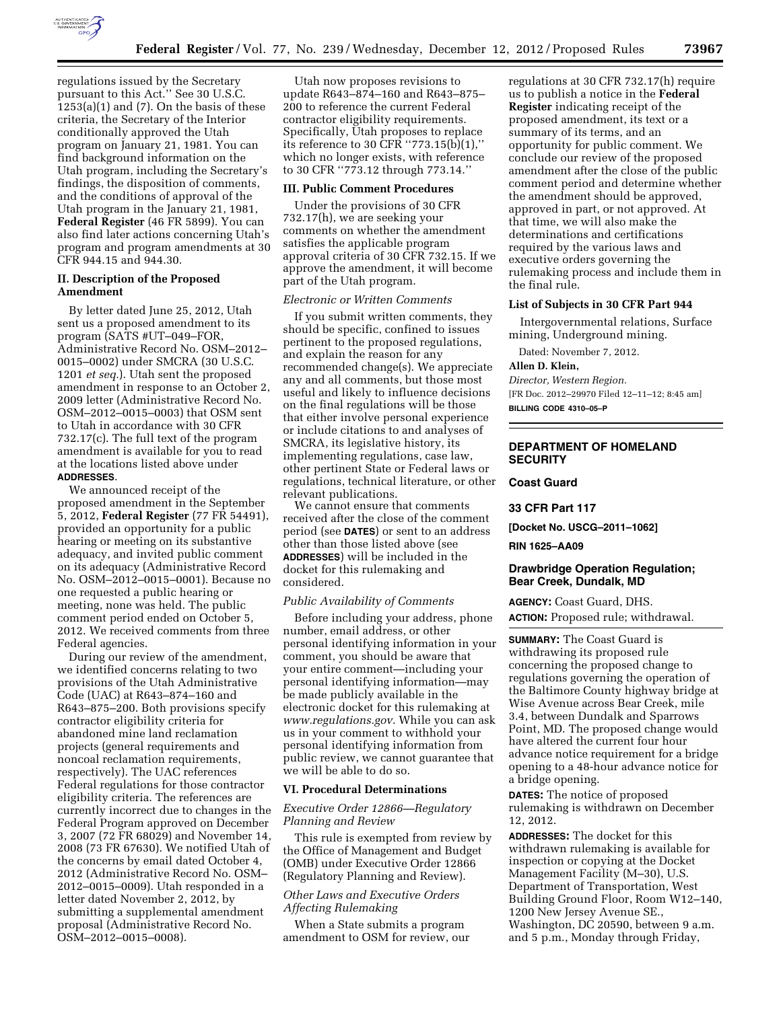

regulations issued by the Secretary pursuant to this Act.'' See 30 U.S.C.  $1253(a)(1)$  and  $(7)$ . On the basis of these criteria, the Secretary of the Interior conditionally approved the Utah program on January 21, 1981. You can find background information on the Utah program, including the Secretary's findings, the disposition of comments, and the conditions of approval of the Utah program in the January 21, 1981, **Federal Register** (46 FR 5899). You can also find later actions concerning Utah's program and program amendments at 30 CFR 944.15 and 944.30.

# **II. Description of the Proposed Amendment**

By letter dated June 25, 2012, Utah sent us a proposed amendment to its program (SATS #UT–049–FOR, Administrative Record No. OSM–2012– 0015–0002) under SMCRA (30 U.S.C. 1201 *et seq.*). Utah sent the proposed amendment in response to an October 2, 2009 letter (Administrative Record No. OSM–2012–0015–0003) that OSM sent to Utah in accordance with 30 CFR 732.17(c). The full text of the program amendment is available for you to read at the locations listed above under **ADDRESSES**.

We announced receipt of the proposed amendment in the September 5, 2012, **Federal Register** (77 FR 54491), provided an opportunity for a public hearing or meeting on its substantive adequacy, and invited public comment on its adequacy (Administrative Record No. OSM–2012–0015–0001). Because no one requested a public hearing or meeting, none was held. The public comment period ended on October 5, 2012. We received comments from three Federal agencies.

During our review of the amendment, we identified concerns relating to two provisions of the Utah Administrative Code (UAC) at R643–874–160 and R643–875–200. Both provisions specify contractor eligibility criteria for abandoned mine land reclamation projects (general requirements and noncoal reclamation requirements, respectively). The UAC references Federal regulations for those contractor eligibility criteria. The references are currently incorrect due to changes in the Federal Program approved on December 3, 2007 (72 FR 68029) and November 14, 2008 (73 FR 67630). We notified Utah of the concerns by email dated October 4, 2012 (Administrative Record No. OSM– 2012–0015–0009). Utah responded in a letter dated November 2, 2012, by submitting a supplemental amendment proposal (Administrative Record No. OSM–2012–0015–0008).

Utah now proposes revisions to update R643–874–160 and R643–875– 200 to reference the current Federal contractor eligibility requirements. Specifically, Utah proposes to replace its reference to 30 CFR ''773.15(b)(1),'' which no longer exists, with reference to 30 CFR ''773.12 through 773.14.''

#### **III. Public Comment Procedures**

Under the provisions of 30 CFR 732.17(h), we are seeking your comments on whether the amendment satisfies the applicable program approval criteria of 30 CFR 732.15. If we approve the amendment, it will become part of the Utah program.

# *Electronic or Written Comments*

If you submit written comments, they should be specific, confined to issues pertinent to the proposed regulations, and explain the reason for any recommended change(s). We appreciate any and all comments, but those most useful and likely to influence decisions on the final regulations will be those that either involve personal experience or include citations to and analyses of SMCRA, its legislative history, its implementing regulations, case law, other pertinent State or Federal laws or regulations, technical literature, or other relevant publications.

We cannot ensure that comments received after the close of the comment period (see **DATES**) or sent to an address other than those listed above (see **ADDRESSES**) will be included in the docket for this rulemaking and considered.

### *Public Availability of Comments*

Before including your address, phone number, email address, or other personal identifying information in your comment, you should be aware that your entire comment—including your personal identifying information—may be made publicly available in the electronic docket for this rulemaking at *[www.regulations.gov](http://www.regulations.gov)*. While you can ask us in your comment to withhold your personal identifying information from public review, we cannot guarantee that we will be able to do so.

### **VI. Procedural Determinations**

#### *Executive Order 12866—Regulatory Planning and Review*

This rule is exempted from review by the Office of Management and Budget (OMB) under Executive Order 12866 (Regulatory Planning and Review).

# *Other Laws and Executive Orders Affecting Rulemaking*

When a State submits a program amendment to OSM for review, our regulations at 30 CFR 732.17(h) require us to publish a notice in the **Federal Register** indicating receipt of the proposed amendment, its text or a summary of its terms, and an opportunity for public comment. We conclude our review of the proposed amendment after the close of the public comment period and determine whether the amendment should be approved, approved in part, or not approved. At that time, we will also make the determinations and certifications required by the various laws and executive orders governing the rulemaking process and include them in the final rule.

#### **List of Subjects in 30 CFR Part 944**

Intergovernmental relations, Surface mining, Underground mining.

Dated: November 7, 2012.

#### **Allen D. Klein,**

*Director, Western Region.*  [FR Doc. 2012–29970 Filed 12–11–12; 8:45 am] **BILLING CODE 4310–05–P** 

# **DEPARTMENT OF HOMELAND SECURITY**

**Coast Guard** 

**33 CFR Part 117** 

**[Docket No. USCG–2011–1062]** 

**RIN 1625–AA09** 

# **Drawbridge Operation Regulation; Bear Creek, Dundalk, MD**

**AGENCY:** Coast Guard, DHS. **ACTION:** Proposed rule; withdrawal.

**SUMMARY:** The Coast Guard is withdrawing its proposed rule concerning the proposed change to regulations governing the operation of the Baltimore County highway bridge at Wise Avenue across Bear Creek, mile 3.4, between Dundalk and Sparrows Point, MD. The proposed change would have altered the current four hour advance notice requirement for a bridge opening to a 48-hour advance notice for a bridge opening.

**DATES:** The notice of proposed rulemaking is withdrawn on December 12, 2012.

**ADDRESSES:** The docket for this withdrawn rulemaking is available for inspection or copying at the Docket Management Facility (M–30), U.S. Department of Transportation, West Building Ground Floor, Room W12–140, 1200 New Jersey Avenue SE., Washington, DC 20590, between 9 a.m. and 5 p.m., Monday through Friday,